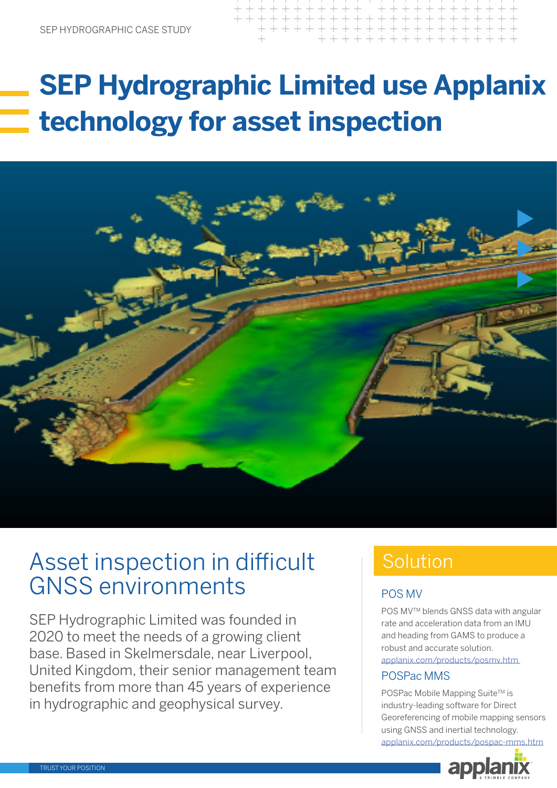### $+ + + + + + +$ + + + + + + + + + + + + + + + + + + + + + + + + + + + + +

## **SEP Hydrographic Limited use Applanix technology for asset inspection**



## Asset inspection in difficult GNSS environments

SEP Hydrographic Limited was founded in 2020 to meet the needs of a growing client base. Based in Skelmersdale, near Liverpool, United Kingdom, their senior management team benefits from more than 45 years of experience in hydrographic and geophysical survey.

## Solution

### POS MV

POS MV™ blends GNSS data with angular rate and acceleration data from an IMU and heading from GAMS to produce a robust and accurate solution. [applanix.com/products/posmv.htm](https://www.applanix.com/products/posmv.htm)

### POSPac MMS

POSPac Mobile Mapping Suite™ is industry-leading software for Direct Georeferencing of mobile mapping sensors using GNSS and inertial technology.

[applanix.com/products/pospac-mms.htm](https://www.applanix.com/products/pospac-mms.htm)